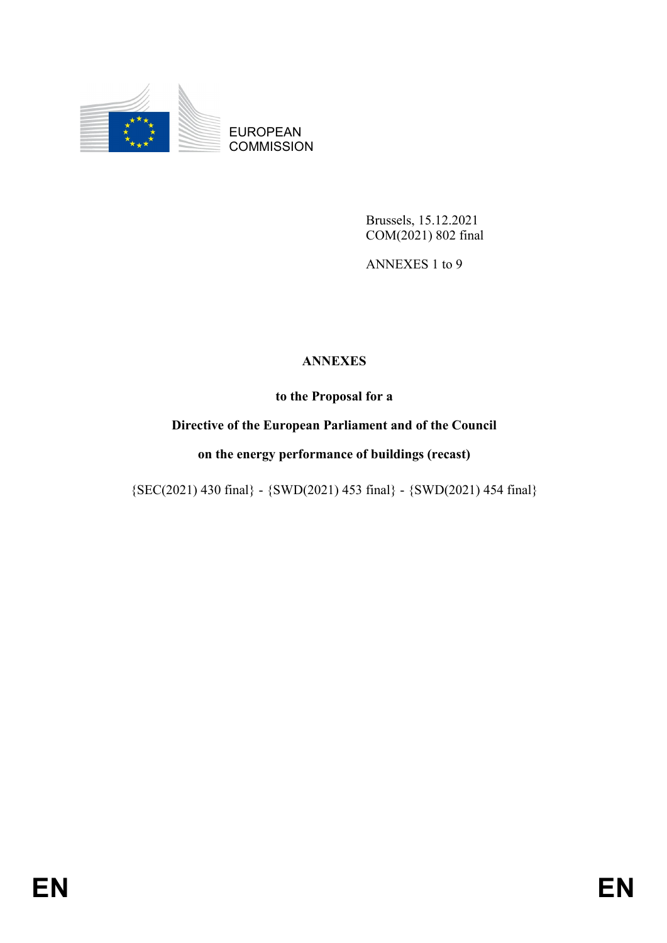

EUROPEAN **COMMISSION** 

> Brussels, 15.12.2021 COM(2021) 802 final

ANNEXES 1 to 9

## **ANNEXES**

**to the Proposal for a**

## **Directive of the European Parliament and of the Council**

### **on the energy performance of buildings (recast)**

{SEC(2021) 430 final} - {SWD(2021) 453 final} - {SWD(2021) 454 final}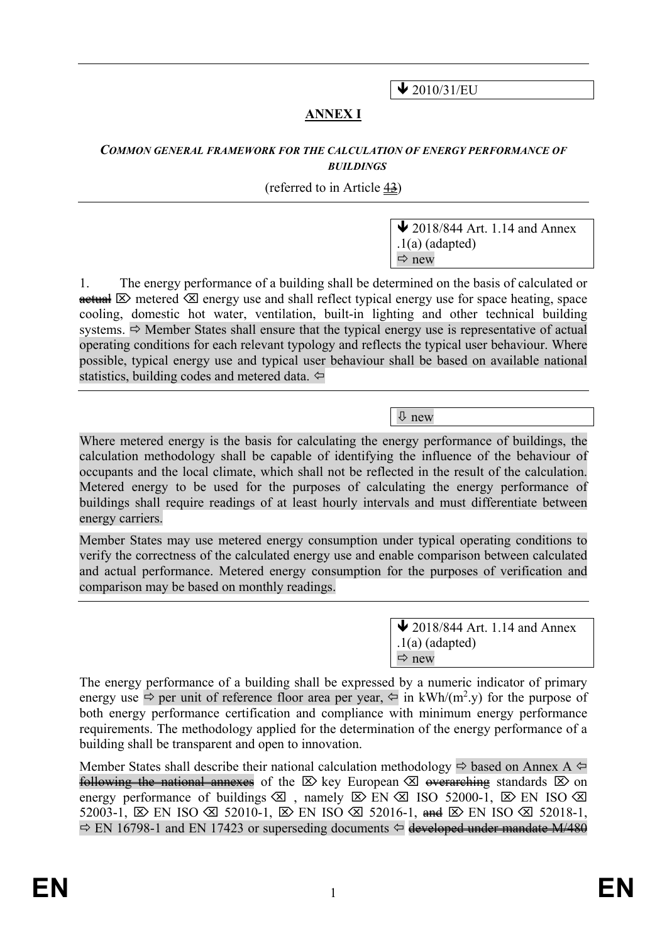$\bigvee$  2010/31/EU

## **ANNEX I**

#### *COMMON GENERAL FRAMEWORK FOR THE CALCULATION OF ENERGY PERFORMANCE OF BUILDINGS*

#### (referred to in Article 43)

 $\bigvee$  2018/844 Art. 1.14 and Annex .1(a) (adapted)  $\Rightarrow$  new

1. The energy performance of a building shall be determined on the basis of calculated or  $\theta$  metered  $\otimes$  energy use and shall reflect typical energy use for space heating, space cooling, domestic hot water, ventilation, built-in lighting and other technical building systems.  $\Rightarrow$  Member States shall ensure that the typical energy use is representative of actual operating conditions for each relevant typology and reflects the typical user behaviour. Where possible, typical energy use and typical user behaviour shall be based on available national statistics, building codes and metered data.

new

Where metered energy is the basis for calculating the energy performance of buildings, the calculation methodology shall be capable of identifying the influence of the behaviour of occupants and the local climate, which shall not be reflected in the result of the calculation. Metered energy to be used for the purposes of calculating the energy performance of buildings shall require readings of at least hourly intervals and must differentiate between energy carriers.

Member States may use metered energy consumption under typical operating conditions to verify the correctness of the calculated energy use and enable comparison between calculated and actual performance. Metered energy consumption for the purposes of verification and comparison may be based on monthly readings.

> $\bigvee$  2018/844 Art. 1.14 and Annex  $.1(a)$  (adapted)  $\Rightarrow$  new

The energy performance of a building shall be expressed by a numeric indicator of primary energy use  $\Rightarrow$  per unit of reference floor area per year,  $\Leftarrow$  in kWh/(m<sup>2</sup>.y) for the purpose of both energy performance certification and compliance with minimum energy performance requirements. The methodology applied for the determination of the energy performance of a building shall be transparent and open to innovation.

Member States shall describe their national calculation methodology  $\Rightarrow$  based on Annex A  $\Leftarrow$ following the national annexes of the  $\boxtimes$  key European  $\boxtimes$  overarching standards  $\boxtimes$  on energy performance of buildings  $\boxtimes$ , namely  $\boxtimes$  EN  $\boxtimes$  ISO 52000-1,  $\boxtimes$  EN ISO  $\boxtimes$ 52003-1,  $\mathbb{Z}$  EN ISO  $\mathbb{Z}$  52010-1,  $\mathbb{Z}$  EN ISO  $\mathbb{Z}$  52016-1, and  $\mathbb{Z}$  EN ISO  $\mathbb{Z}$  52018-1,  $\Rightarrow$  EN 16798-1 and EN 17423 or superseding documents  $\Leftarrow$  developed under mandate M/480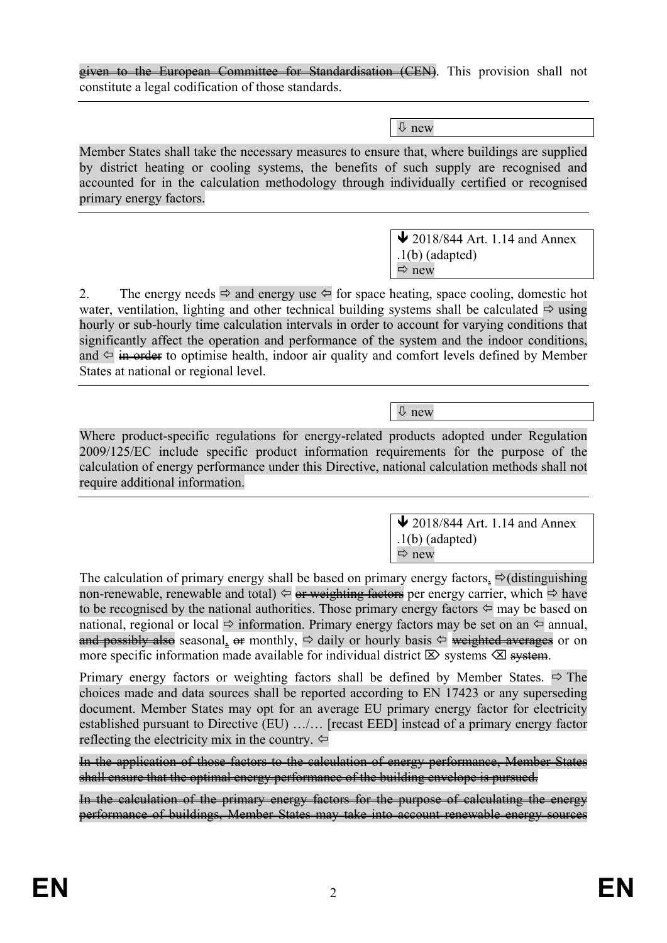given to the European Committee for Standardisation (CEN). This provision shall not constitute a legal codification of those standards.

new

Member States shall take the necessary measures to ensure that, where buildings are supplied by district heating or cooling systems, the benefits of such supply are recognised and accounted for in the calculation methodology through individually certified or recognised primary energy factors.

> $\bigvee$  2018/844 Art. 1.14 and Annex .1(b) (adapted)  $\Rightarrow$  new

2. The energy needs  $\Rightarrow$  and energy use  $\Leftarrow$  for space heating, space cooling, domestic hot water, ventilation, lighting and other technical building systems shall be calculated  $\Rightarrow$  using hourly or sub-hourly time calculation intervals in order to account for varying conditions that significantly affect the operation and performance of the system and the indoor conditions, and  $\Leftarrow$  in order to optimise health, indoor air quality and comfort levels defined by Member States at national or regional level.

new

Where product-specific regulations for energy-related products adopted under Regulation 2009/125/EC include specific product information requirements for the purpose of the calculation of energy performance under this Directive, national calculation methods shall not require additional information.

> $\bigvee$  2018/844 Art. 1.14 and Annex .1(b) (adapted)  $\Rightarrow$  new

The calculation of primary energy shall be based on primary energy factors,  $\Rightarrow$  (distinguishing non-renewable, renewable and total)  $\Leftrightarrow$  or weighting factors per energy carrier, which  $\Leftrightarrow$  have to be recognised by the national authorities. Those primary energy factors  $\Leftrightarrow$  may be based on national, regional or local  $\Rightarrow$  information. Primary energy factors may be set on an  $\Leftarrow$  annual, and possibly also seasonal, or monthly,  $\Rightarrow$  daily or hourly basis  $\Leftrightarrow$  weighted averages or on more specific information made available for individual district  $\boxtimes$  systems  $\boxtimes$  system.

Primary energy factors or weighting factors shall be defined by Member States.  $\Rightarrow$  The choices made and data sources shall be reported according to EN 17423 or any superseding document. Member States may opt for an average EU primary energy factor for electricity established pursuant to Directive (EU) …/… [recast EED] instead of a primary energy factor reflecting the electricity mix in the country.  $\Leftrightarrow$ 

In the application of those factors to the calculation of energy performance, Member States shall ensure that the optimal energy performance of the building envelope is pursued.

In the calculation of the primary energy factors for the purpose of calculating the energy performance of buildings, Member States may take into account renewable energy sources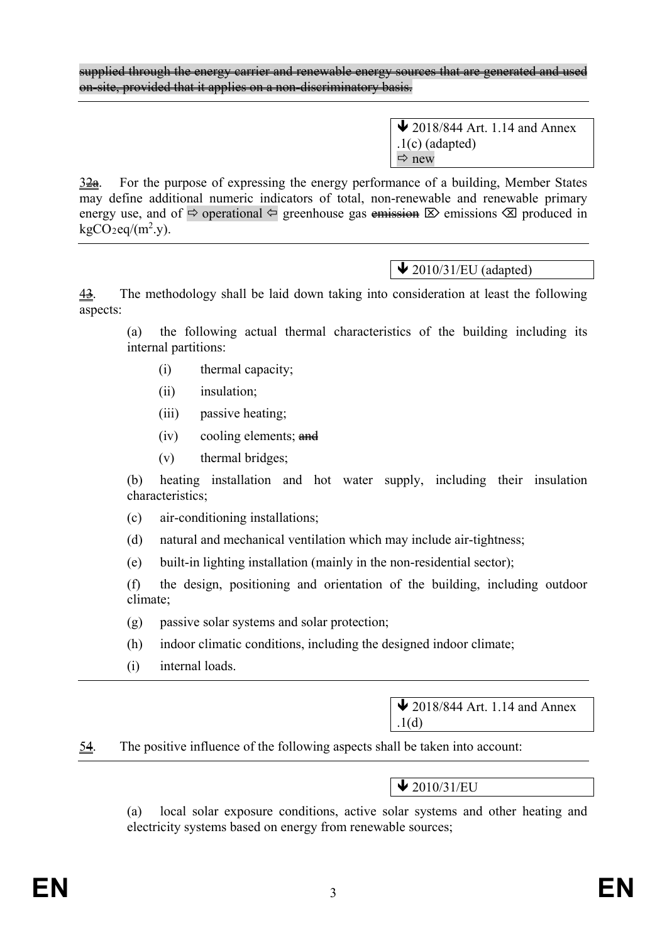supplied through the energy carrier and renewable energy sources that are generated and used on-site, provided that it applies on a non-discriminatory basis.

> $\blacktriangleright$  2018/844 Art. 1.14 and Annex .1(c) (adapted)  $\Rightarrow$  new

 $3\frac{2a}{2a}$ . For the purpose of expressing the energy performance of a building, Member States may define additional numeric indicators of total, non-renewable and renewable primary energy use, and of  $\Rightarrow$  operational  $\Leftarrow$  greenhouse gas emissions  $\boxtimes$  emissions  $\boxtimes$  produced in  $kgCO_2$ eq/(m<sup>2</sup>.y).

 $\blacktriangleright$  2010/31/EU (adapted)

43. The methodology shall be laid down taking into consideration at least the following aspects:

(a) the following actual thermal characteristics of the building including its internal partitions:

- (i) thermal capacity;
- (ii) insulation;
- (iii) passive heating;
- $(iv)$  cooling elements; and
- (v) thermal bridges;

(b) heating installation and hot water supply, including their insulation characteristics;

- (c) air-conditioning installations;
- (d) natural and mechanical ventilation which may include air-tightness;
- (e) built-in lighting installation (mainly in the non-residential sector);

(f) the design, positioning and orientation of the building, including outdoor climate;

- (g) passive solar systems and solar protection;
- (h) indoor climatic conditions, including the designed indoor climate;
- (i) internal loads.

 $\bigvee$  2018/844 Art. 1.14 and Annex .1(d)

54. The positive influence of the following aspects shall be taken into account:

## $\bigvee$  2010/31/EU

(a) local solar exposure conditions, active solar systems and other heating and electricity systems based on energy from renewable sources;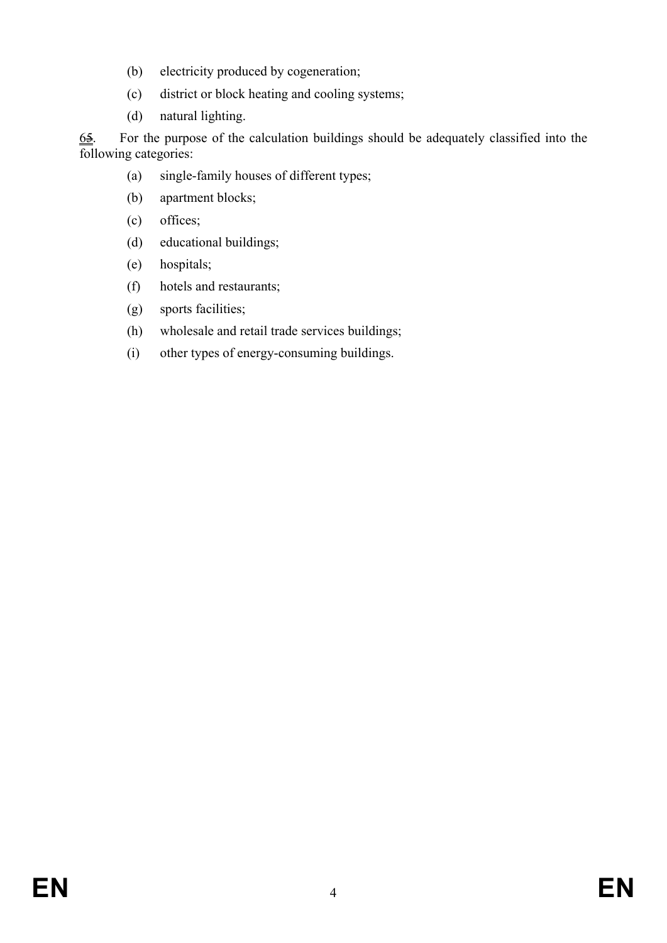- (b) electricity produced by cogeneration;
- (c) district or block heating and cooling systems;
- (d) natural lighting.

 $\underline{64}$ . For the purpose of the calculation buildings should be adequately classified into the following categories:

- (a) single-family houses of different types;
- (b) apartment blocks;
- (c) offices;
- (d) educational buildings;
- (e) hospitals;
- (f) hotels and restaurants;
- (g) sports facilities;
- (h) wholesale and retail trade services buildings;
- (i) other types of energy-consuming buildings.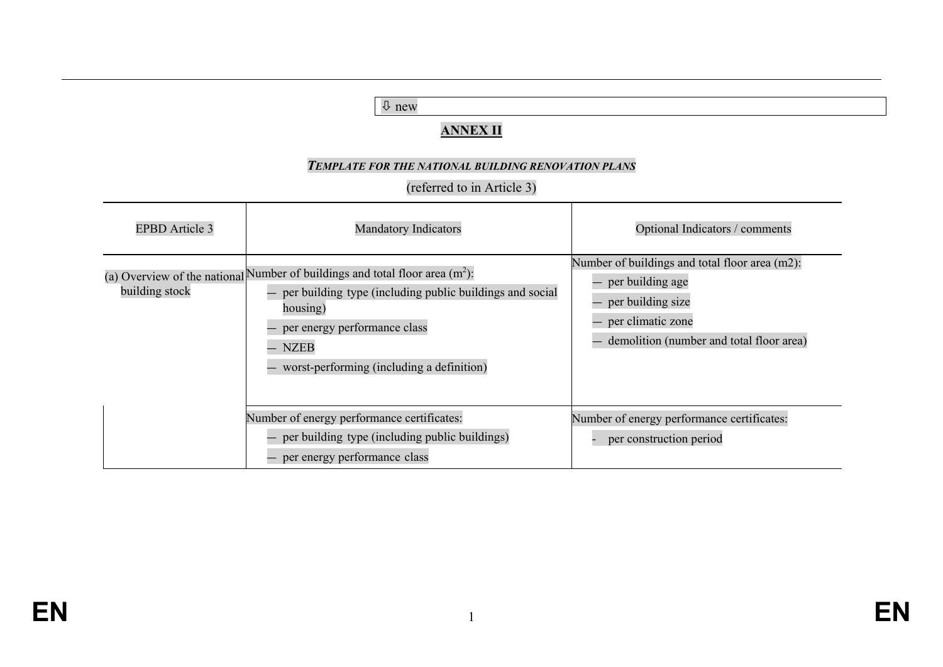| $\downarrow$ new<br><b>ANNEX II</b><br>TEMPLATE FOR THE NATIONAL BUILDING RENOVATION PLANS<br>(referred to in Article 3) |                                                                                                                                                                                                                                                     |                                                                                                                                                          |
|--------------------------------------------------------------------------------------------------------------------------|-----------------------------------------------------------------------------------------------------------------------------------------------------------------------------------------------------------------------------------------------------|----------------------------------------------------------------------------------------------------------------------------------------------------------|
| <b>EPBD</b> Article 3                                                                                                    | <b>Mandatory Indicators</b>                                                                                                                                                                                                                         | Optional Indicators / comments                                                                                                                           |
| building stock                                                                                                           | (a) Overview of the national Number of buildings and total floor area $(m^2)$ :<br>per building type (including public buildings and social<br>housing)<br>per energy performance class<br><b>NZEB</b><br>worst-performing (including a definition) | Number of buildings and total floor area (m2):<br>per building age<br>per building size<br>per climatic zone<br>demolition (number and total floor area) |
|                                                                                                                          | Number of energy performance certificates:<br>per building type (including public buildings)<br>per energy performance class                                                                                                                        | Number of energy performance certificates:<br>per construction period                                                                                    |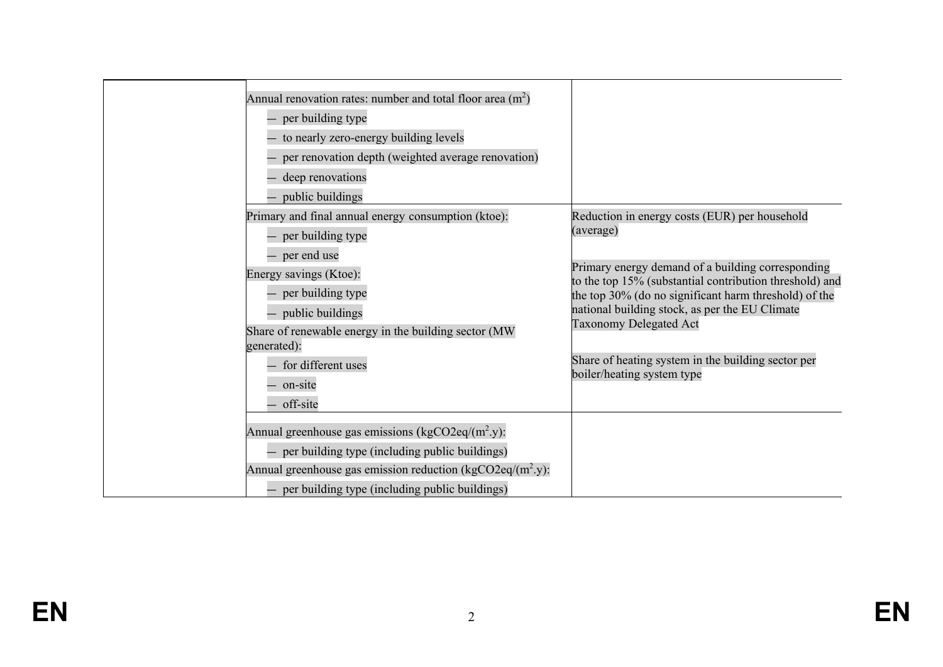| Annual renovation rates: number and total floor area $(m2)$<br>- per building type<br>- to nearly zero-energy building levels<br>per renovation depth (weighted average renovation)<br>deep renovations<br>public buildings                                                               |                                                                                                                                                                                                                                                                                                                                                                                                            |
|-------------------------------------------------------------------------------------------------------------------------------------------------------------------------------------------------------------------------------------------------------------------------------------------|------------------------------------------------------------------------------------------------------------------------------------------------------------------------------------------------------------------------------------------------------------------------------------------------------------------------------------------------------------------------------------------------------------|
| Primary and final annual energy consumption (ktoe):<br>- per building type<br>- per end use<br>Energy savings (Ktoe):<br>per building type<br>- public buildings<br>Share of renewable energy in the building sector (MW)<br>generated):<br>for different uses<br>- on-site<br>- off-site | Reduction in energy costs (EUR) per household<br>(average)<br>Primary energy demand of a building corresponding<br>to the top 15% (substantial contribution threshold) and<br>the top 30% (do no significant harm threshold) of the<br>national building stock, as per the EU Climate<br><b>Taxonomy Delegated Act</b><br>Share of heating system in the building sector per<br>boiler/heating system type |
| Annual greenhouse gas emissions ( $kgCO2eq/(m^2 y)$ :<br>- per building type (including public buildings)<br>Annual greenhouse gas emission reduction ( $kgCO2eq/(m^2 y)$ :<br>- per building type (including public buildings)                                                           |                                                                                                                                                                                                                                                                                                                                                                                                            |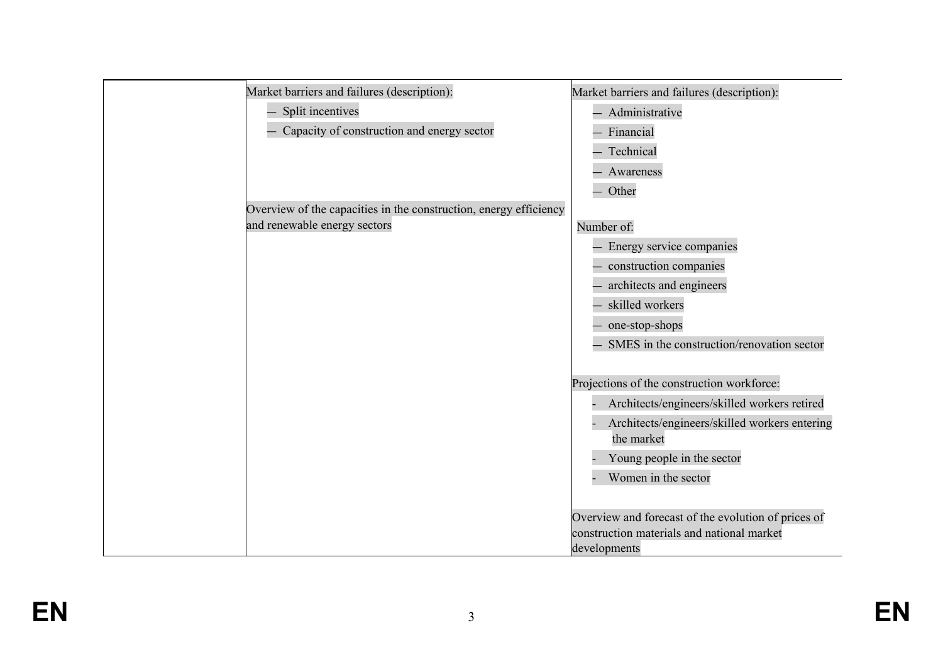| Market barriers and failures (description):                       | Market barriers and failures (description):                 |
|-------------------------------------------------------------------|-------------------------------------------------------------|
| Split incentives                                                  | Administrative                                              |
| Capacity of construction and energy sector                        | Financial                                                   |
|                                                                   | Technical                                                   |
|                                                                   | Awareness                                                   |
|                                                                   | Other                                                       |
| Overview of the capacities in the construction, energy efficiency |                                                             |
| and renewable energy sectors                                      | Number of:                                                  |
|                                                                   | Energy service companies                                    |
|                                                                   | construction companies                                      |
|                                                                   | architects and engineers                                    |
|                                                                   | skilled workers                                             |
|                                                                   | one-stop-shops                                              |
|                                                                   | SMES in the construction/renovation sector                  |
|                                                                   |                                                             |
|                                                                   | Projections of the construction workforce:                  |
|                                                                   | Architects/engineers/skilled workers retired                |
|                                                                   | Architects/engineers/skilled workers entering<br>the market |
|                                                                   | Young people in the sector                                  |
|                                                                   | Women in the sector                                         |
|                                                                   |                                                             |
|                                                                   | Overview and forecast of the evolution of prices of         |
|                                                                   | construction materials and national market                  |
|                                                                   | developments                                                |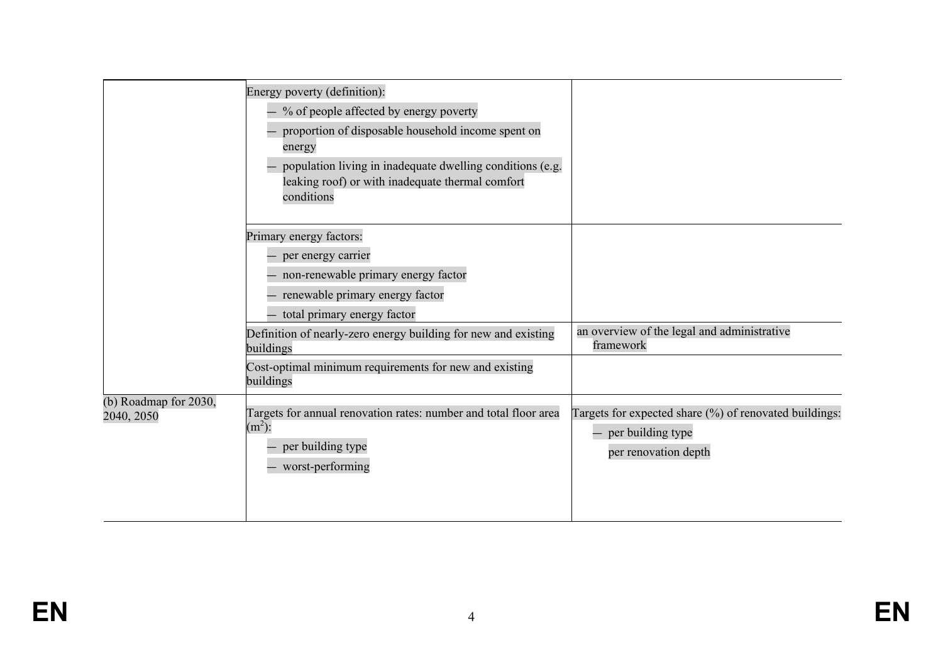|                                     | Energy poverty (definition):<br>$-$ % of people affected by energy poverty<br>proportion of disposable household income spent on<br>energy<br>population living in inadequate dwelling conditions (e.g.<br>leaking roof) or with inadequate thermal comfort<br>conditions |                                                                                                     |
|-------------------------------------|---------------------------------------------------------------------------------------------------------------------------------------------------------------------------------------------------------------------------------------------------------------------------|-----------------------------------------------------------------------------------------------------|
|                                     | Primary energy factors:<br>- per energy carrier<br>- non-renewable primary energy factor<br>renewable primary energy factor<br>- total primary energy factor<br>Definition of nearly-zero energy building for new and existing<br>buildings                               | an overview of the legal and administrative<br>framework                                            |
|                                     | Cost-optimal minimum requirements for new and existing<br>buildings                                                                                                                                                                                                       |                                                                                                     |
| (b) Roadmap for 2030,<br>2040, 2050 | Targets for annual renovation rates: number and total floor area<br>$(m2)$ :<br>per building type<br>- worst-performing                                                                                                                                                   | Targets for expected share (%) of renovated buildings:<br>per building type<br>per renovation depth |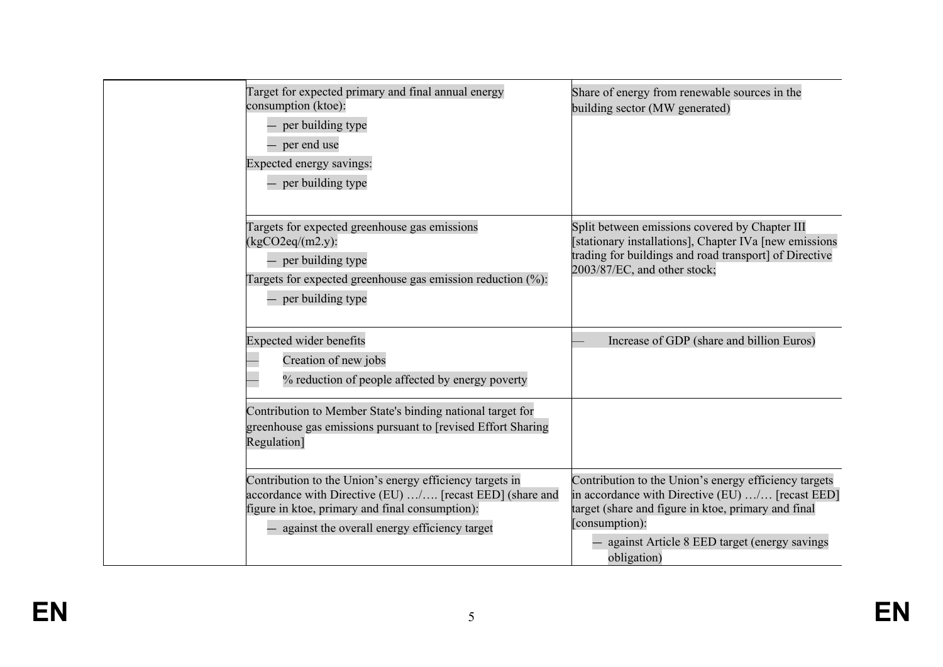| Target for expected primary and final annual energy<br>consumption (ktoe):<br>- per building type<br>- per end use<br>Expected energy savings:<br>- per building type                                                     | Share of energy from renewable sources in the<br>building sector (MW generated)                                                                                                                                                                   |
|---------------------------------------------------------------------------------------------------------------------------------------------------------------------------------------------------------------------------|---------------------------------------------------------------------------------------------------------------------------------------------------------------------------------------------------------------------------------------------------|
| Targets for expected greenhouse gas emissions<br>$(kgCO2eq/(m2.y))$ :<br>- per building type<br>Targets for expected greenhouse gas emission reduction (%):<br>- per building type                                        | Split between emissions covered by Chapter III<br>[stationary installations], Chapter IVa [new emissions]<br>trading for buildings and road transport] of Directive<br>2003/87/EC, and other stock;                                               |
| <b>Expected wider benefits</b><br>Creation of new jobs<br>% reduction of people affected by energy poverty                                                                                                                | Increase of GDP (share and billion Euros)                                                                                                                                                                                                         |
| Contribution to Member State's binding national target for<br>greenhouse gas emissions pursuant to [revised Effort Sharing]<br>Regulation]                                                                                |                                                                                                                                                                                                                                                   |
| Contribution to the Union's energy efficiency targets in<br>accordance with Directive (EU) / [recast EED] (share and<br>figure in ktoe, primary and final consumption):<br>- against the overall energy efficiency target | Contribution to the Union's energy efficiency targets<br>in accordance with Directive (EU) / [recast EED]<br>target (share and figure in ktoe, primary and final<br>[consumption]:<br>against Article 8 EED target (energy savings<br>obligation) |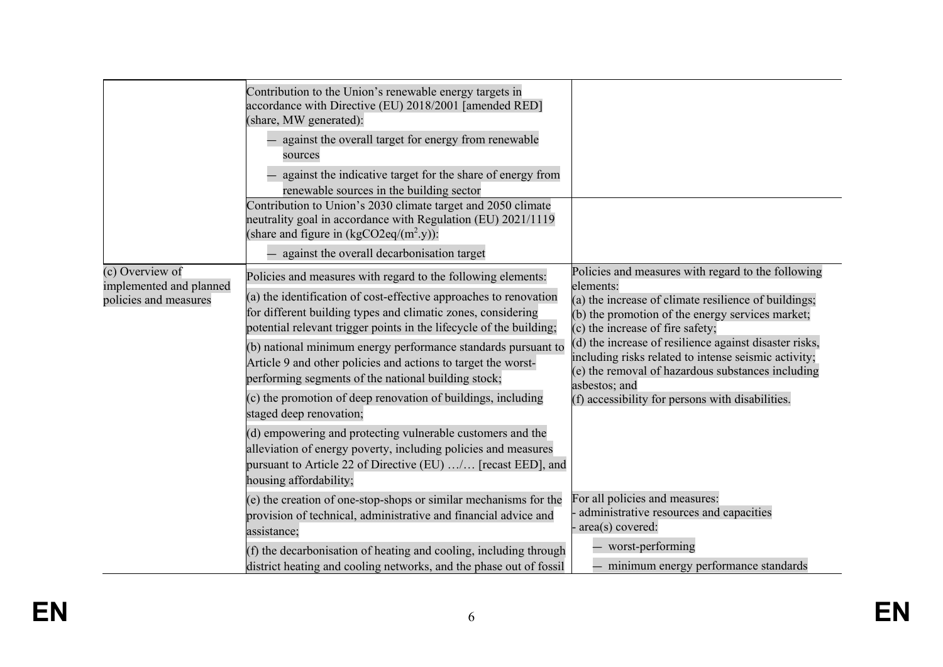|                                            | Contribution to the Union's renewable energy targets in<br>accordance with Directive (EU) 2018/2001 [amended RED]                                                                                                        |                                                                                                                                                                                                                                                                                                                                      |
|--------------------------------------------|--------------------------------------------------------------------------------------------------------------------------------------------------------------------------------------------------------------------------|--------------------------------------------------------------------------------------------------------------------------------------------------------------------------------------------------------------------------------------------------------------------------------------------------------------------------------------|
|                                            | (share, MW generated):                                                                                                                                                                                                   |                                                                                                                                                                                                                                                                                                                                      |
|                                            | against the overall target for energy from renewable<br>sources                                                                                                                                                          |                                                                                                                                                                                                                                                                                                                                      |
|                                            | against the indicative target for the share of energy from                                                                                                                                                               |                                                                                                                                                                                                                                                                                                                                      |
|                                            | renewable sources in the building sector                                                                                                                                                                                 |                                                                                                                                                                                                                                                                                                                                      |
|                                            | Contribution to Union's 2030 climate target and 2050 climate<br>neutrality goal in accordance with Regulation (EU) 2021/1119<br>(share and figure in $(kgCO2eq/(m^2 y))$ :                                               |                                                                                                                                                                                                                                                                                                                                      |
|                                            | against the overall decarbonisation target                                                                                                                                                                               |                                                                                                                                                                                                                                                                                                                                      |
| (c) Overview of<br>implemented and planned | Policies and measures with regard to the following elements:                                                                                                                                                             | Policies and measures with regard to the following<br>elements:                                                                                                                                                                                                                                                                      |
| policies and measures                      | $(a)$ the identification of cost-effective approaches to renovation<br>for different building types and climatic zones, considering<br>potential relevant trigger points in the lifecycle of the building;               | (a) the increase of climate resilience of buildings;<br>(b) the promotion of the energy services market;<br>(c) the increase of fire safety;<br>(d) the increase of resilience against disaster risks,<br>including risks related to intense seismic activity;<br>(e) the removal of hazardous substances including<br>asbestos; and |
|                                            | (b) national minimum energy performance standards pursuant to<br>Article 9 and other policies and actions to target the worst-<br>performing segments of the national building stock;                                    |                                                                                                                                                                                                                                                                                                                                      |
|                                            | (c) the promotion of deep renovation of buildings, including<br>staged deep renovation;                                                                                                                                  | (f) accessibility for persons with disabilities.                                                                                                                                                                                                                                                                                     |
|                                            | $(d)$ empowering and protecting vulnerable customers and the<br>alleviation of energy poverty, including policies and measures<br>pursuant to Article 22 of Directive (EU) / [recast EED], and<br>housing affordability; |                                                                                                                                                                                                                                                                                                                                      |
|                                            | (e) the creation of one-stop-shops or similar mechanisms for the<br>provision of technical, administrative and financial advice and<br>assistance;                                                                       | For all policies and measures:<br>administrative resources and capacities<br>area(s) covered:                                                                                                                                                                                                                                        |
|                                            | $(f)$ the decarbonisation of heating and cooling, including through<br>district heating and cooling networks, and the phase out of fossil                                                                                | - worst-performing<br>minimum energy performance standards                                                                                                                                                                                                                                                                           |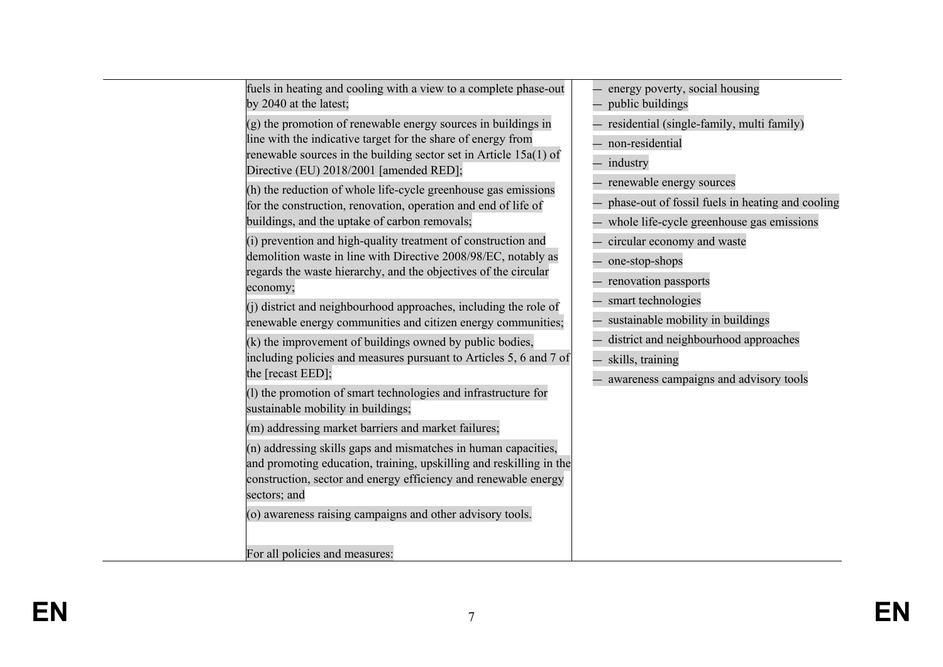| fuels in heating and cooling with a view to a complete phase-out<br>by 2040 at the latest;                                                                                                                                                    | energy poverty, social housing<br>public buildings                                                                        |
|-----------------------------------------------------------------------------------------------------------------------------------------------------------------------------------------------------------------------------------------------|---------------------------------------------------------------------------------------------------------------------------|
| (g) the promotion of renewable energy sources in buildings in<br>line with the indicative target for the share of energy from<br>renewable sources in the building sector set in Article 15a(1) of<br>Directive (EU) 2018/2001 [amended RED]; | residential (single-family, multi family)<br>non-residential<br>- industry                                                |
| (h) the reduction of whole life-cycle greenhouse gas emissions<br>for the construction, renovation, operation and end of life of<br>buildings, and the uptake of carbon removals;                                                             | renewable energy sources<br>phase-out of fossil fuels in heating and cooling<br>whole life-cycle greenhouse gas emissions |
| (i) prevention and high-quality treatment of construction and<br>demolition waste in line with Directive 2008/98/EC, notably as<br>regards the waste hierarchy, and the objectives of the circular<br>economy;                                | circular economy and waste<br>one-stop-shops<br>renovation passports                                                      |
| (j) district and neighbourhood approaches, including the role of<br>renewable energy communities and citizen energy communities;                                                                                                              | smart technologies<br>sustainable mobility in buildings                                                                   |
| (k) the improvement of buildings owned by public bodies,<br>including policies and measures pursuant to Articles 5, 6 and 7 of<br>the [recast EED];                                                                                           | district and neighbourhood approaches<br>- skills, training<br>awareness campaigns and advisory tools                     |
| (1) the promotion of smart technologies and infrastructure for<br>sustainable mobility in buildings;                                                                                                                                          |                                                                                                                           |
| (m) addressing market barriers and market failures;                                                                                                                                                                                           |                                                                                                                           |
| (n) addressing skills gaps and mismatches in human capacities,<br>and promoting education, training, upskilling and reskilling in the<br>construction, sector and energy efficiency and renewable energy<br>sectors; and                      |                                                                                                                           |
| (o) awareness raising campaigns and other advisory tools.<br>For all policies and measures:                                                                                                                                                   |                                                                                                                           |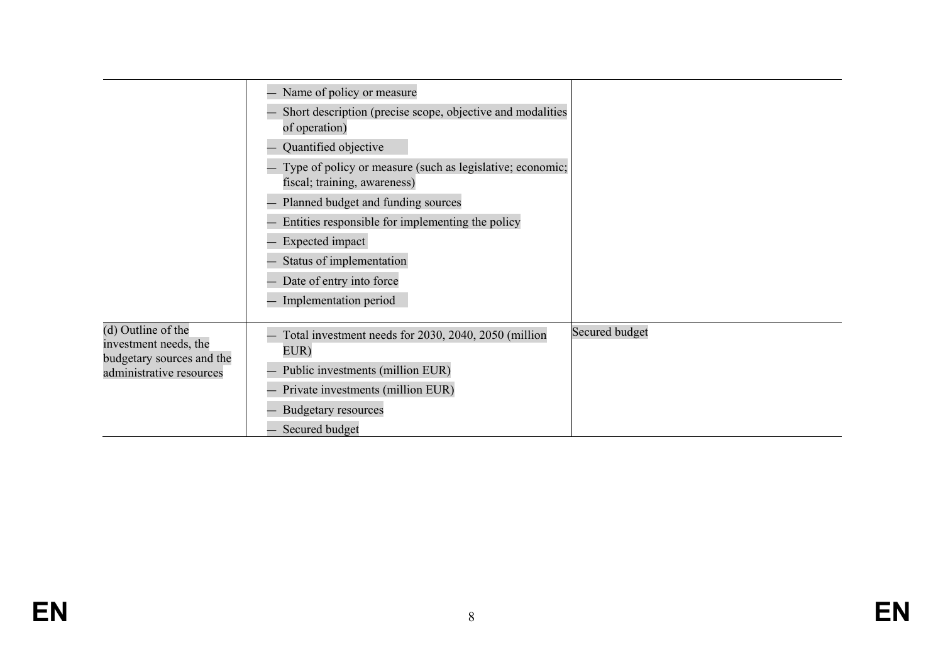|                                                                          | Name of policy or measure                                                                 |                |
|--------------------------------------------------------------------------|-------------------------------------------------------------------------------------------|----------------|
|                                                                          | Short description (precise scope, objective and modalities<br>of operation)               |                |
|                                                                          | Quantified objective                                                                      |                |
|                                                                          | Type of policy or measure (such as legislative; economic;<br>fiscal; training, awareness) |                |
|                                                                          | Planned budget and funding sources                                                        |                |
|                                                                          | Entities responsible for implementing the policy                                          |                |
|                                                                          | Expected impact                                                                           |                |
|                                                                          | Status of implementation                                                                  |                |
|                                                                          | Date of entry into force                                                                  |                |
|                                                                          | Implementation period                                                                     |                |
| (d) Outline of the<br>investment needs, the<br>budgetary sources and the | Total investment needs for 2030, 2040, 2050 (million<br>EUR)                              | Secured budget |
| administrative resources                                                 | Public investments (million EUR)                                                          |                |
|                                                                          | Private investments (million EUR)                                                         |                |
|                                                                          | <b>Budgetary resources</b>                                                                |                |
|                                                                          | Secured budget                                                                            |                |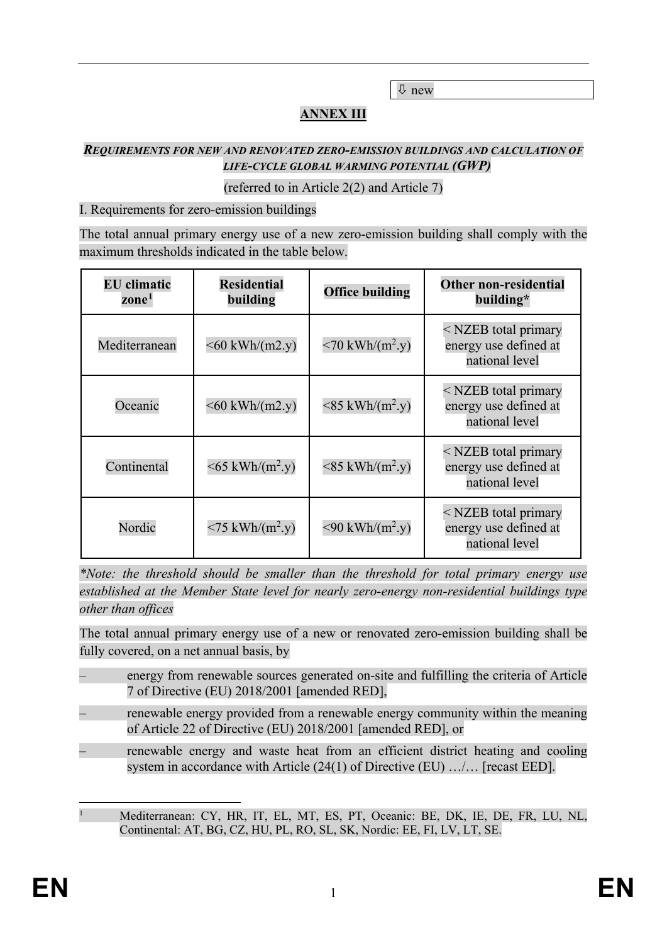new

## **ANNEX III**

#### *REQUIREMENTS FOR NEW AND RENOVATED ZERO-EMISSION BUILDINGS AND CALCULATION OF LIFE-CYCLE GLOBAL WARMING POTENTIAL (GWP)*

#### (referred to in Article 2(2) and Article 7)

#### I. Requirements for zero-emission buildings

The total annual primary energy use of a new zero-emission building shall comply with the maximum thresholds indicated in the table below.

| <b>EU</b> climatic<br>zone <sup>1</sup> | <b>Residential</b><br>building                  | <b>Office building</b>                          | Other non-residential<br>building*                                |
|-----------------------------------------|-------------------------------------------------|-------------------------------------------------|-------------------------------------------------------------------|
| Mediterranean                           | $<$ 60 kWh/(m2.y)                               | $\langle 70 \text{ kWh/(m}^2 \text{y}) \rangle$ | < NZEB total primary<br>energy use defined at<br>national level   |
| Oceanic                                 | $< 60$ kWh/(m2.y)                               | $\langle 85 \text{ kWh/(m}^2 \text{y}) \rangle$ | < NZEB total primary<br>energy use defined at<br>national level   |
| Continental                             | $\leq 65$ kWh/(m <sup>2</sup> .y)               | $\langle 85 \text{ kWh/(m}^2 \text{y}) \rangle$ | < NZEB total primary<br>energy use defined at<br>national level   |
| Nordic                                  | $\langle 75 \text{ kWh/(m}^2 \text{y}) \rangle$ | $\langle 90 \text{ kWh/(m}^2 \text{y}) \rangle$ | $<$ NZEB total primary<br>energy use defined at<br>national level |

*\*Note: the threshold should be smaller than the threshold for total primary energy use established at the Member State level for nearly zero-energy non-residential buildings type other than offices*

The total annual primary energy use of a new or renovated zero-emission building shall be fully covered, on a net annual basis, by

- energy from renewable sources generated on-site and fulfilling the criteria of Article 7 of Directive (EU) 2018/2001 [amended RED],
- renewable energy provided from a renewable energy community within the meaning of Article 22 of Directive (EU) 2018/2001 [amended RED], or
- renewable energy and waste heat from an efficient district heating and cooling system in accordance with Article (24(1) of Directive (EU) …/… [recast EED].

<span id="page-13-0"></span> <sup>1</sup> Mediterranean: CY, HR, IT, EL, MT, ES, PT, Oceanic: BE, DK, IE, DE, FR, LU, NL, Continental: AT, BG, CZ, HU, PL, RO, SL, SK, Nordic: EE, FI, LV, LT, SE.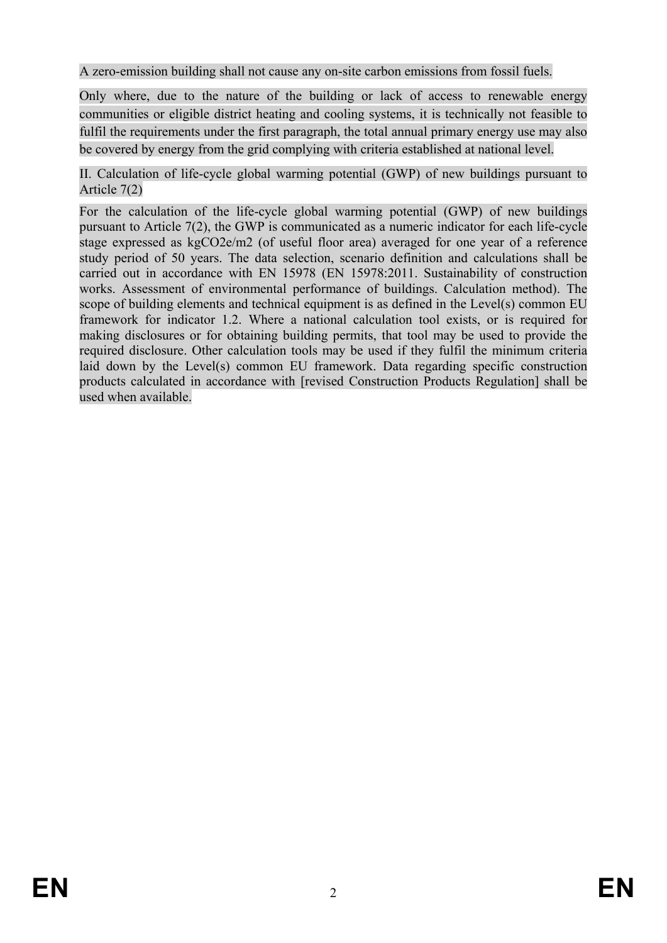A zero-emission building shall not cause any on-site carbon emissions from fossil fuels.

Only where, due to the nature of the building or lack of access to renewable energy communities or eligible district heating and cooling systems, it is technically not feasible to fulfil the requirements under the first paragraph, the total annual primary energy use may also be covered by energy from the grid complying with criteria established at national level.

II. Calculation of life-cycle global warming potential (GWP) of new buildings pursuant to Article 7(2)

For the calculation of the life-cycle global warming potential (GWP) of new buildings pursuant to Article 7(2), the GWP is communicated as a numeric indicator for each life-cycle stage expressed as kgCO2e/m2 (of useful floor area) averaged for one year of a reference study period of 50 years. The data selection, scenario definition and calculations shall be carried out in accordance with EN 15978 (EN 15978:2011. Sustainability of construction works. Assessment of environmental performance of buildings. Calculation method). The scope of building elements and technical equipment is as defined in the Level(s) common EU framework for indicator 1.2. Where a national calculation tool exists, or is required for making disclosures or for obtaining building permits, that tool may be used to provide the required disclosure. Other calculation tools may be used if they fulfil the minimum criteria laid down by the Level(s) common EU framework. Data regarding specific construction products calculated in accordance with [revised Construction Products Regulation] shall be used when available.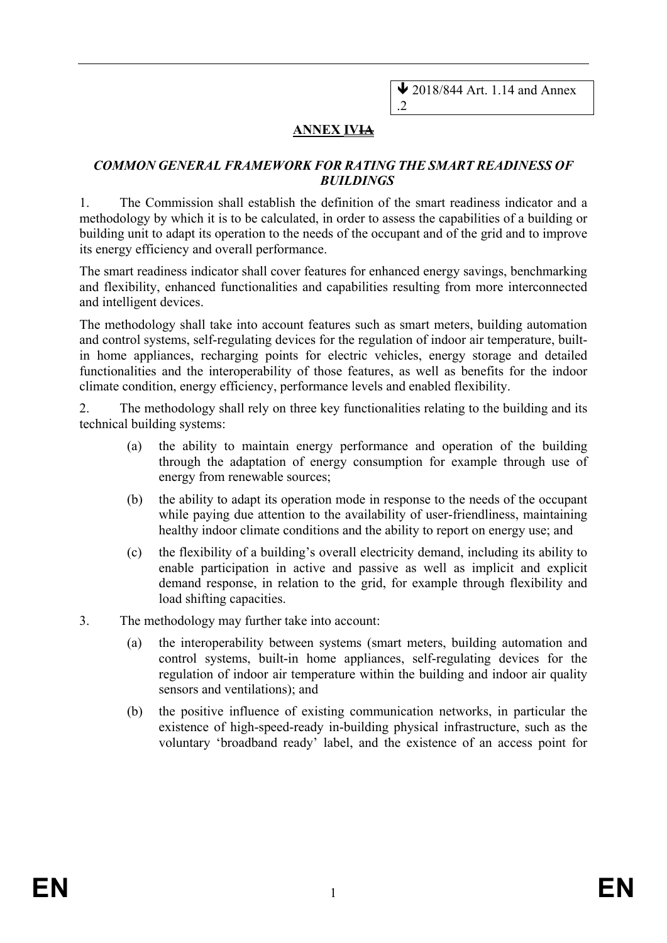### **ANNEX IVIA**

#### *COMMON GENERAL FRAMEWORK FOR RATING THE SMART READINESS OF BUILDINGS*

1. The Commission shall establish the definition of the smart readiness indicator and a methodology by which it is to be calculated, in order to assess the capabilities of a building or building unit to adapt its operation to the needs of the occupant and of the grid and to improve its energy efficiency and overall performance.

The smart readiness indicator shall cover features for enhanced energy savings, benchmarking and flexibility, enhanced functionalities and capabilities resulting from more interconnected and intelligent devices.

The methodology shall take into account features such as smart meters, building automation and control systems, self-regulating devices for the regulation of indoor air temperature, builtin home appliances, recharging points for electric vehicles, energy storage and detailed functionalities and the interoperability of those features, as well as benefits for the indoor climate condition, energy efficiency, performance levels and enabled flexibility.

2. The methodology shall rely on three key functionalities relating to the building and its technical building systems:

- (a) the ability to maintain energy performance and operation of the building through the adaptation of energy consumption for example through use of energy from renewable sources;
- (b) the ability to adapt its operation mode in response to the needs of the occupant while paying due attention to the availability of user-friendliness, maintaining healthy indoor climate conditions and the ability to report on energy use; and
- (c) the flexibility of a building's overall electricity demand, including its ability to enable participation in active and passive as well as implicit and explicit demand response, in relation to the grid, for example through flexibility and load shifting capacities.
- 3. The methodology may further take into account:
	- (a) the interoperability between systems (smart meters, building automation and control systems, built-in home appliances, self-regulating devices for the regulation of indoor air temperature within the building and indoor air quality sensors and ventilations); and
	- (b) the positive influence of existing communication networks, in particular the existence of high-speed-ready in-building physical infrastructure, such as the voluntary 'broadband ready' label, and the existence of an access point for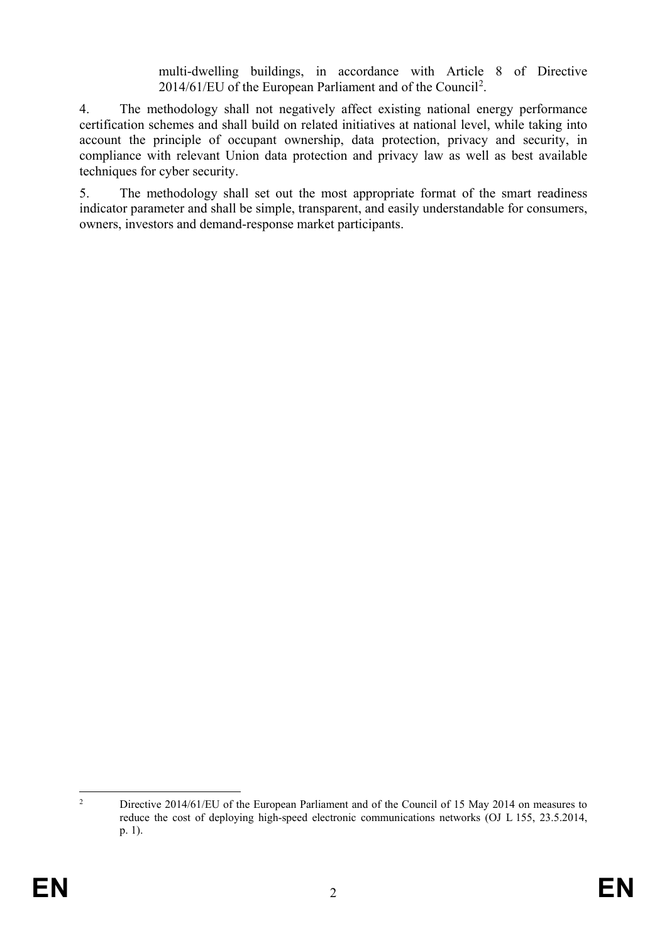multi-dwelling buildings, in accordance with Article 8 of Directive [2](#page-16-0)014/61/EU of the European Parliament and of the Council<sup>2</sup>.

4. The methodology shall not negatively affect existing national energy performance certification schemes and shall build on related initiatives at national level, while taking into account the principle of occupant ownership, data protection, privacy and security, in compliance with relevant Union data protection and privacy law as well as best available techniques for cyber security.

5. The methodology shall set out the most appropriate format of the smart readiness indicator parameter and shall be simple, transparent, and easily understandable for consumers, owners, investors and demand-response market participants.

<span id="page-16-0"></span><sup>&</sup>lt;sup>2</sup> Directive 2014/61/EU of the European Parliament and of the Council of 15 May 2014 on measures to reduce the cost of deploying high-speed electronic communications networks (OJ L 155, 23.5.2014, p. 1).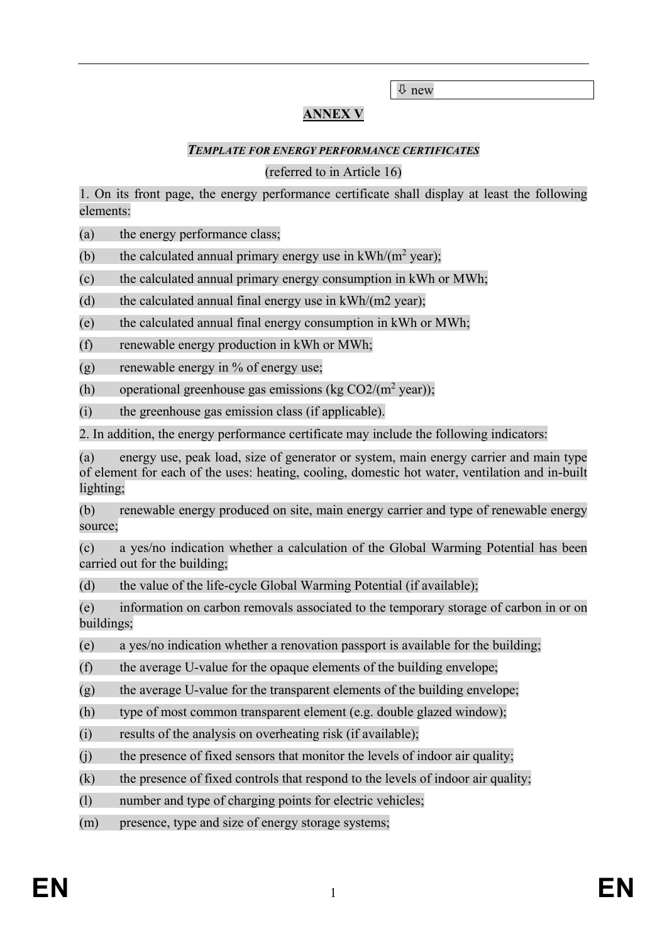new

## **ANNEX V**

#### *TEMPLATE FOR ENERGY PERFORMANCE CERTIFICATES*

#### (referred to in Article 16)

1. On its front page, the energy performance certificate shall display at least the following elements:

(a) the energy performance class;

(b) the calculated annual primary energy use in  $kWh/(m^2 \text{ year})$ ;

(c) the calculated annual primary energy consumption in kWh or MWh;

(d) the calculated annual final energy use in  $kWh/(m2 \text{ year})$ ;

(e) the calculated annual final energy consumption in kWh or MWh;

(f) renewable energy production in kWh or MWh;

(g) renewable energy in % of energy use;

(h) operational greenhouse gas emissions (kg  $CO2/(m^2 \text{ year})$ );

(i) the greenhouse gas emission class (if applicable).

2. In addition, the energy performance certificate may include the following indicators:

(a) energy use, peak load, size of generator or system, main energy carrier and main type of element for each of the uses: heating, cooling, domestic hot water, ventilation and in-built lighting;

(b) renewable energy produced on site, main energy carrier and type of renewable energy source;

(c) a yes/no indication whether a calculation of the Global Warming Potential has been carried out for the building;

(d) the value of the life-cycle Global Warming Potential (if available);

(e) information on carbon removals associated to the temporary storage of carbon in or on buildings;

(e) a yes/no indication whether a renovation passport is available for the building;

(f) the average U-value for the opaque elements of the building envelope;

 $(g)$  the average U-value for the transparent elements of the building envelope;

(h) type of most common transparent element (e.g. double glazed window);

 $(i)$  results of the analysis on overheating risk (if available);

 $(i)$  the presence of fixed sensors that monitor the levels of indoor air quality;

 $(k)$  the presence of fixed controls that respond to the levels of indoor air quality;

(l) number and type of charging points for electric vehicles;

(m) presence, type and size of energy storage systems;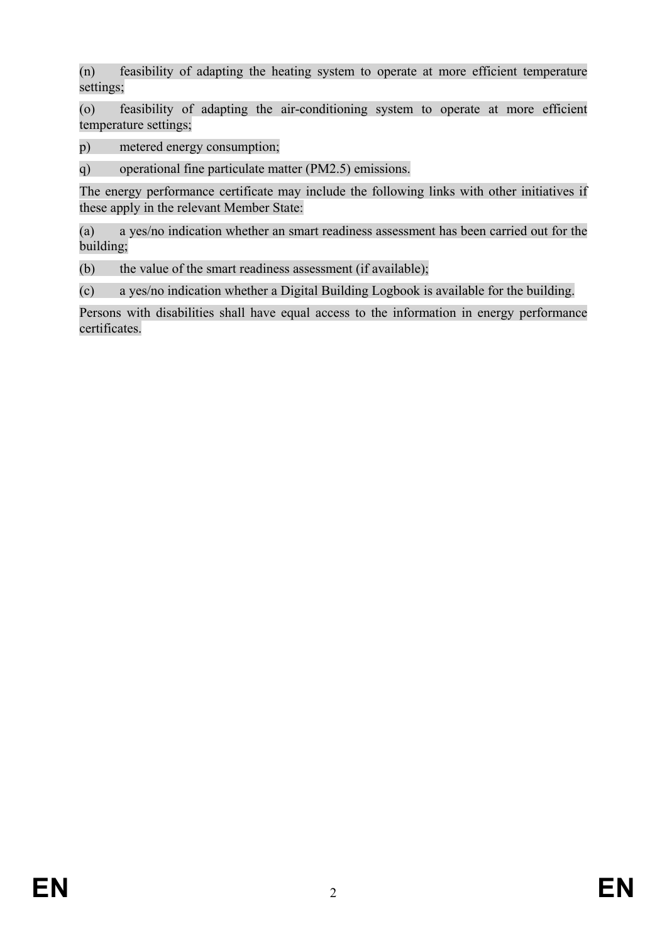(n) feasibility of adapting the heating system to operate at more efficient temperature settings;

(o) feasibility of adapting the air-conditioning system to operate at more efficient temperature settings;

p) metered energy consumption;

q) operational fine particulate matter (PM2.5) emissions.

The energy performance certificate may include the following links with other initiatives if these apply in the relevant Member State:

(a) a yes/no indication whether an smart readiness assessment has been carried out for the building;

(b) the value of the smart readiness assessment (if available);

(c) a yes/no indication whether a Digital Building Logbook is available for the building.

Persons with disabilities shall have equal access to the information in energy performance certificates.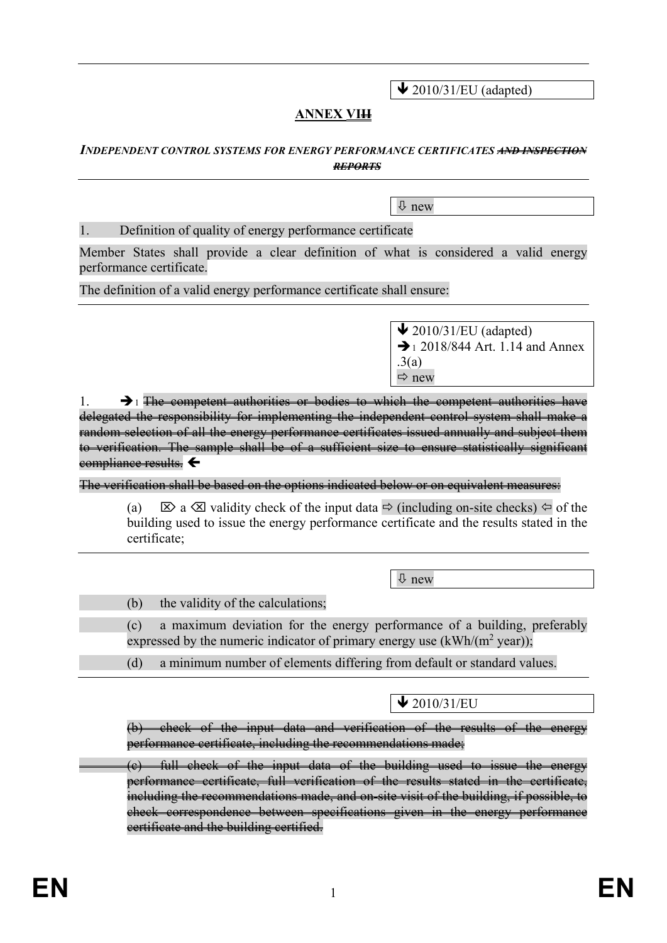$\bigvee$  2010/31/EU (adapted)

## **ANNEX VIII**

#### *INDEPENDENT CONTROL SYSTEMS FOR ENERGY PERFORMANCE CERTIFICATES AND INSPECTION REPORTS*

new

#### 1. Definition of quality of energy performance certificate

Member States shall provide a clear definition of what is considered a valid energy performance certificate.

The definition of a valid energy performance certificate shall ensure:

 $\bigvee$  2010/31/EU (adapted)  $\rightarrow$  1 2018/844 Art. 1.14 and Annex .3(a)  $\Rightarrow$  new

 $\rightarrow$  1. The competent authorities or bodies to which the competent authorities have delegated the responsibility for implementing the independent control system shall make a random selection of all the energy performance certificates issued annually and subject them to verification. The sample shall be of a sufficient size to ensure statistically significant compliance results.

The verification shall be based on the options indicated below or on equivalent measures:

(a)  $\boxtimes$  a  $\boxtimes$  validity check of the input data  $\Rightarrow$  (including on-site checks)  $\Leftrightarrow$  of the building used to issue the energy performance certificate and the results stated in the certificate;

 $\overline{\psi}$  new

(b) the validity of the calculations;

(c) a maximum deviation for the energy performance of a building, preferably expressed by the numeric indicator of primary energy use  $(kWh/(m^2 \text{ year}))$ ;

(d) a minimum number of elements differing from default or standard values.

 $\bigvee$  2010/31/EU

(b) check of the input data and verification of the results of the energy performance certificate, including the recommendations made;

(c) full check of the input data of the building used to issue the energy performance certificate, full verification of the results stated in the certificate, including the recommendations made, and on-site visit of the building, if possible, to check correspondence between specifications given in the energy performance certificate and the building certified.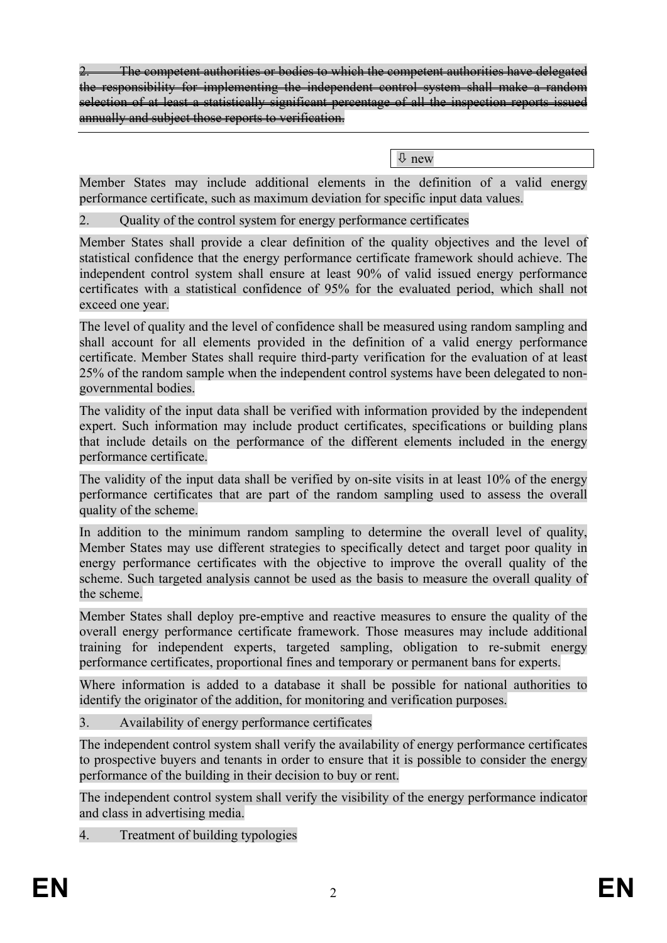2. The competent authorities or bodies to which the competent authorities have delegated the responsibility for implementing the independent control system shall make a random selection of at least a statistically significant percentage of all the inspection reports issued annually and subject those reports to verification.

new

Member States may include additional elements in the definition of a valid energy performance certificate, such as maximum deviation for specific input data values.

2. Quality of the control system for energy performance certificates

Member States shall provide a clear definition of the quality objectives and the level of statistical confidence that the energy performance certificate framework should achieve. The independent control system shall ensure at least 90% of valid issued energy performance certificates with a statistical confidence of 95% for the evaluated period, which shall not exceed one year.

The level of quality and the level of confidence shall be measured using random sampling and shall account for all elements provided in the definition of a valid energy performance certificate. Member States shall require third-party verification for the evaluation of at least 25% of the random sample when the independent control systems have been delegated to nongovernmental bodies.

The validity of the input data shall be verified with information provided by the independent expert. Such information may include product certificates, specifications or building plans that include details on the performance of the different elements included in the energy performance certificate.

The validity of the input data shall be verified by on-site visits in at least 10% of the energy performance certificates that are part of the random sampling used to assess the overall quality of the scheme.

In addition to the minimum random sampling to determine the overall level of quality, Member States may use different strategies to specifically detect and target poor quality in energy performance certificates with the objective to improve the overall quality of the scheme. Such targeted analysis cannot be used as the basis to measure the overall quality of the scheme.

Member States shall deploy pre-emptive and reactive measures to ensure the quality of the overall energy performance certificate framework. Those measures may include additional training for independent experts, targeted sampling, obligation to re-submit energy performance certificates, proportional fines and temporary or permanent bans for experts.

Where information is added to a database it shall be possible for national authorities to identify the originator of the addition, for monitoring and verification purposes.

3. Availability of energy performance certificates

The independent control system shall verify the availability of energy performance certificates to prospective buyers and tenants in order to ensure that it is possible to consider the energy performance of the building in their decision to buy or rent.

The independent control system shall verify the visibility of the energy performance indicator and class in advertising media.

4. Treatment of building typologies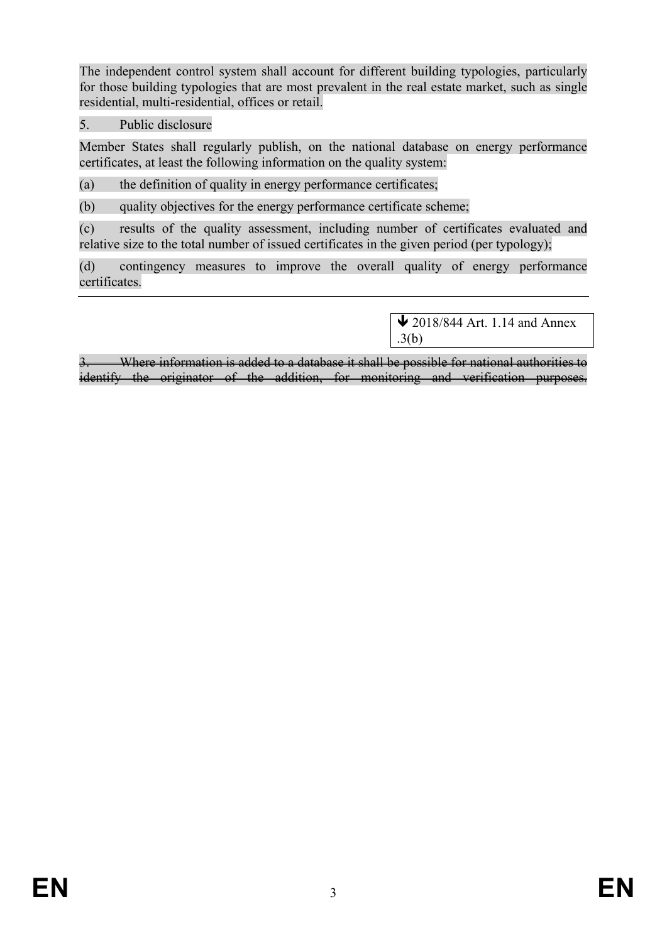The independent control system shall account for different building typologies, particularly for those building typologies that are most prevalent in the real estate market, such as single residential, multi-residential, offices or retail.

5. Public disclosure

Member States shall regularly publish, on the national database on energy performance certificates, at least the following information on the quality system:

(a) the definition of quality in energy performance certificates;

(b) quality objectives for the energy performance certificate scheme:

(c) results of the quality assessment, including number of certificates evaluated and relative size to the total number of issued certificates in the given period (per typology);

(d) contingency measures to improve the overall quality of energy performance certificates.

> $\bigvee$  2018/844 Art. 1.14 and Annex .3(b)

Where information is added to a database it shall be possible for national authorities to identify the originator of the addition, for monitoring and verification purposes.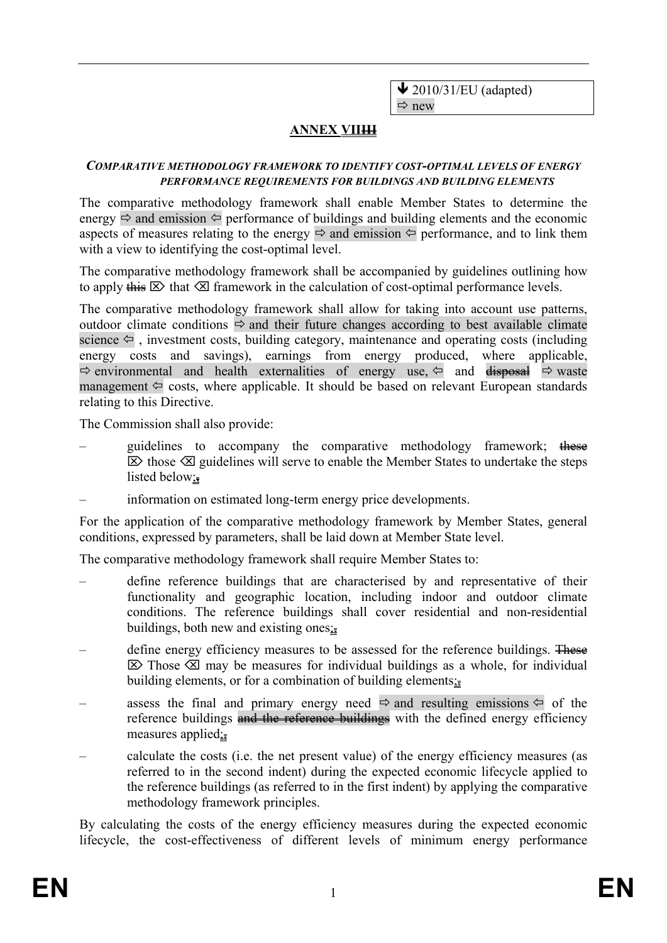$\bigvee$  2010/31/EU (adapted)  $\Rightarrow$  new

### **ANNEX VIIII**

#### *COMPARATIVE METHODOLOGY FRAMEWORK TO IDENTIFY COST-OPTIMAL LEVELS OF ENERGY PERFORMANCE REQUIREMENTS FOR BUILDINGS AND BUILDING ELEMENTS*

The comparative methodology framework shall enable Member States to determine the energy  $\Rightarrow$  and emission  $\Leftrightarrow$  performance of buildings and building elements and the economic aspects of measures relating to the energy  $\Rightarrow$  and emission  $\Leftarrow$  performance, and to link them with a view to identifying the cost-optimal level.

The comparative methodology framework shall be accompanied by guidelines outlining how to apply this  $\boxtimes$  that  $\boxtimes$  framework in the calculation of cost-optimal performance levels.

The comparative methodology framework shall allow for taking into account use patterns, outdoor climate conditions  $\Rightarrow$  and their future changes according to best available climate science  $\Leftrightarrow$  , investment costs, building category, maintenance and operating costs (including energy costs and savings), earnings from energy produced, where applicable,  $\Rightarrow$  environmental and health externalities of energy use,  $\Leftarrow$  and  $\triangleleft$  and  $\Rightarrow$  waste management  $\Leftrightarrow$  costs, where applicable. It should be based on relevant European standards relating to this Directive.

The Commission shall also provide:

- guidelines to accompany the comparative methodology framework; these  $\triangleright$  those  $\triangleright$  guidelines will serve to enable the Member States to undertake the steps listed below;
- information on estimated long-term energy price developments.

For the application of the comparative methodology framework by Member States, general conditions, expressed by parameters, shall be laid down at Member State level.

The comparative methodology framework shall require Member States to:

- define reference buildings that are characterised by and representative of their functionality and geographic location, including indoor and outdoor climate conditions. The reference buildings shall cover residential and non-residential buildings, both new and existing ones $\frac{1}{2}$
- define energy efficiency measures to be assessed for the reference buildings. These  $\boxtimes$  Those  $\boxtimes$  may be measures for individual buildings as a whole, for individual building elements, or for a combination of building elements;
- assess the final and primary energy need  $\Rightarrow$  and resulting emissions  $\Leftarrow$  of the reference buildings and the reference buildings with the defined energy efficiency measures applied $\frac{1}{2}$
- calculate the costs (i.e. the net present value) of the energy efficiency measures (as referred to in the second indent) during the expected economic lifecycle applied to the reference buildings (as referred to in the first indent) by applying the comparative methodology framework principles.

By calculating the costs of the energy efficiency measures during the expected economic lifecycle, the cost-effectiveness of different levels of minimum energy performance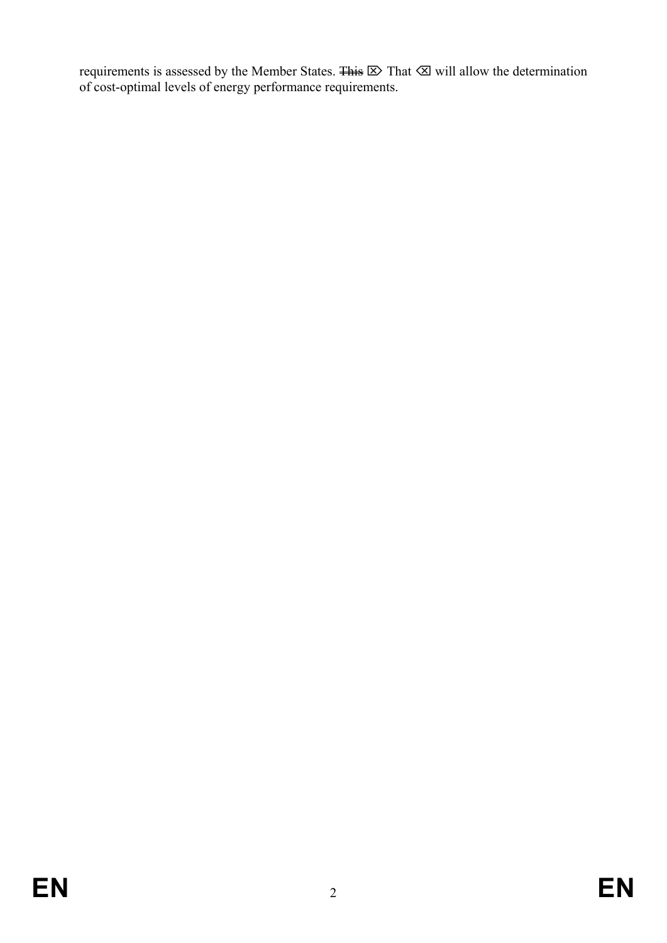requirements is assessed by the Member States.  $\overline{4 \text{ his }} \boxtimes \text{ That } \textcircled{x}$  will allow the determination of cost-optimal levels of energy performance requirements.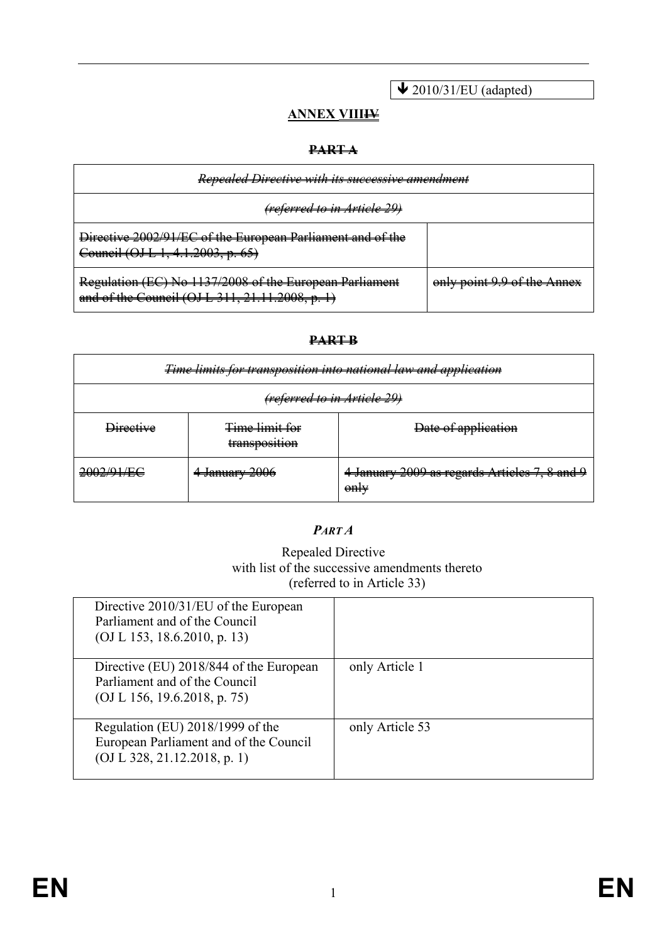$\bigvee$  2010/31/EU (adapted)

## **ANNEX VIIIII**

#### **PART A**

| Repealed Directive with its successive amendment                                                           |                             |
|------------------------------------------------------------------------------------------------------------|-----------------------------|
| <del>(referred to in Article 2</del>                                                                       |                             |
| Directive 2002/91/EC of the European Parliament and of the<br>Council (OJ L 1, 4.1.2003, p. 65)            |                             |
| Regulation (EC) No 1137/2008 of the European Parliament<br>and of the Council (OJ L 311, 21.11.2008, p. 1) | only point 9.9 of the Annex |

#### **PART B**

| Time limits for transposition into national law and application |                                        |                                                               |
|-----------------------------------------------------------------|----------------------------------------|---------------------------------------------------------------|
| <del>(referred to in Article 29)</del>                          |                                        |                                                               |
| <del>Directive</del>                                            | <b>Time limit for</b><br>transposition | Date of application                                           |
| 2002/01/EC<br><del>ZWZI ZITEX</del>                             | 4 January 2006                         | 4 January 2009 as regards Articles 7, 8 and 9<br>$\theta$ nty |

### *PART A*

#### Repealed Directive with list of the successive amendments thereto (referred to in Article 33)

| Directive 2010/31/EU of the European<br>Parliament and of the Council<br>(OJ L 153, 18.6.2010, p. 13)      |                 |
|------------------------------------------------------------------------------------------------------------|-----------------|
| Directive (EU) 2018/844 of the European<br>Parliament and of the Council<br>(OJ L 156, 19.6.2018, p. 75)   | only Article 1  |
| Regulation (EU) 2018/1999 of the<br>European Parliament and of the Council<br>(OJ L 328, 21.12.2018, p. 1) | only Article 53 |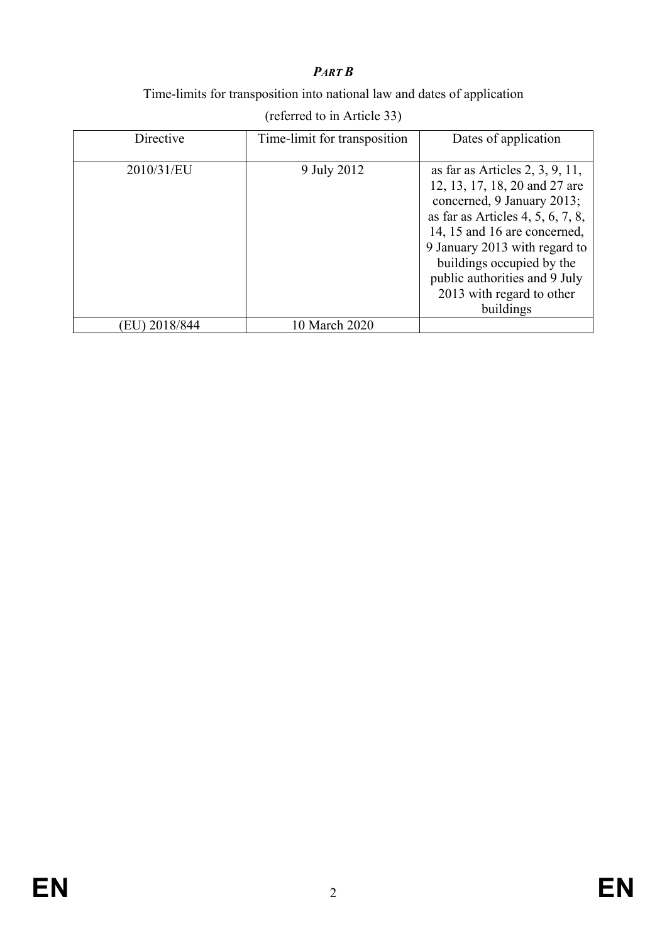## *PART B*

### Time-limits for transposition into national law and dates of application

| Directive    | Time-limit for transposition | Dates of application                                                                                                                                                                                                                                                                                            |
|--------------|------------------------------|-----------------------------------------------------------------------------------------------------------------------------------------------------------------------------------------------------------------------------------------------------------------------------------------------------------------|
| 2010/31/EU   | 9 July 2012                  | as far as Articles $2, 3, 9, 11$ ,<br>12, 13, 17, 18, 20 and 27 are<br>concerned, 9 January 2013;<br>as far as Articles 4, 5, 6, 7, 8,<br>14, 15 and 16 are concerned,<br>9 January 2013 with regard to<br>buildings occupied by the<br>public authorities and 9 July<br>2013 with regard to other<br>buildings |
| EU) 2018/844 | 10 March 2020                |                                                                                                                                                                                                                                                                                                                 |

(referred to in Article 33)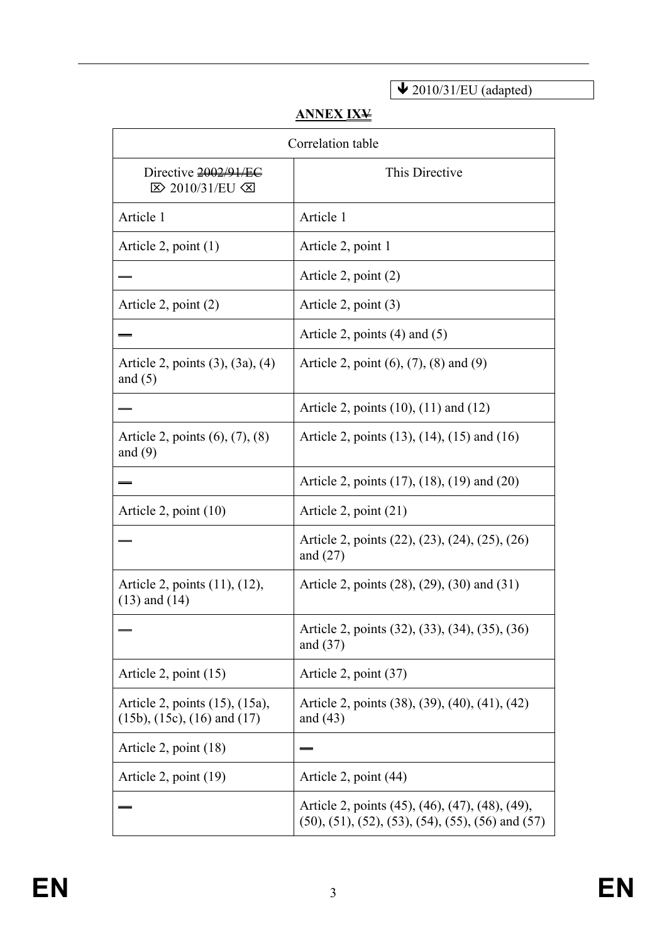$\bigvee$  2010/31/EU (adapted)

# **ANNEX IXV**

| Correlation table                                                       |                                                                                                                            |  |
|-------------------------------------------------------------------------|----------------------------------------------------------------------------------------------------------------------------|--|
| Directive 2002/91/EC<br><b>E&gt; 2010/31/EU ≤</b>                       | This Directive                                                                                                             |  |
| Article 1                                                               | Article 1                                                                                                                  |  |
| Article 2, point $(1)$                                                  | Article 2, point 1                                                                                                         |  |
|                                                                         | Article 2, point $(2)$                                                                                                     |  |
| Article 2, point $(2)$                                                  | Article 2, point $(3)$                                                                                                     |  |
|                                                                         | Article 2, points $(4)$ and $(5)$                                                                                          |  |
| Article 2, points $(3)$ , $(3a)$ , $(4)$<br>and $(5)$                   | Article 2, point $(6)$ , $(7)$ , $(8)$ and $(9)$                                                                           |  |
|                                                                         | Article 2, points $(10)$ , $(11)$ and $(12)$                                                                               |  |
| Article 2, points $(6)$ , $(7)$ , $(8)$<br>and $(9)$                    | Article 2, points (13), (14), (15) and (16)                                                                                |  |
|                                                                         | Article 2, points (17), (18), (19) and (20)                                                                                |  |
| Article 2, point $(10)$                                                 | Article 2, point $(21)$                                                                                                    |  |
|                                                                         | Article 2, points (22), (23), (24), (25), (26)<br>and $(27)$                                                               |  |
| Article 2, points (11), (12),<br>$(13)$ and $(14)$                      | Article 2, points (28), (29), (30) and (31)                                                                                |  |
|                                                                         | Article 2, points (32), (33), (34), (35), (36)<br>and $(37)$                                                               |  |
| Article 2, point $(15)$                                                 | Article 2, point (37)                                                                                                      |  |
| Article 2, points (15), (15a),<br>$(15b)$ , $(15c)$ , $(16)$ and $(17)$ | Article 2, points (38), (39), (40), (41), (42)<br>and $(43)$                                                               |  |
| Article 2, point $(18)$                                                 |                                                                                                                            |  |
| Article 2, point (19)                                                   | Article 2, point (44)                                                                                                      |  |
|                                                                         | Article 2, points (45), (46), (47), (48), (49),<br>$(50)$ , $(51)$ , $(52)$ , $(53)$ , $(54)$ , $(55)$ , $(56)$ and $(57)$ |  |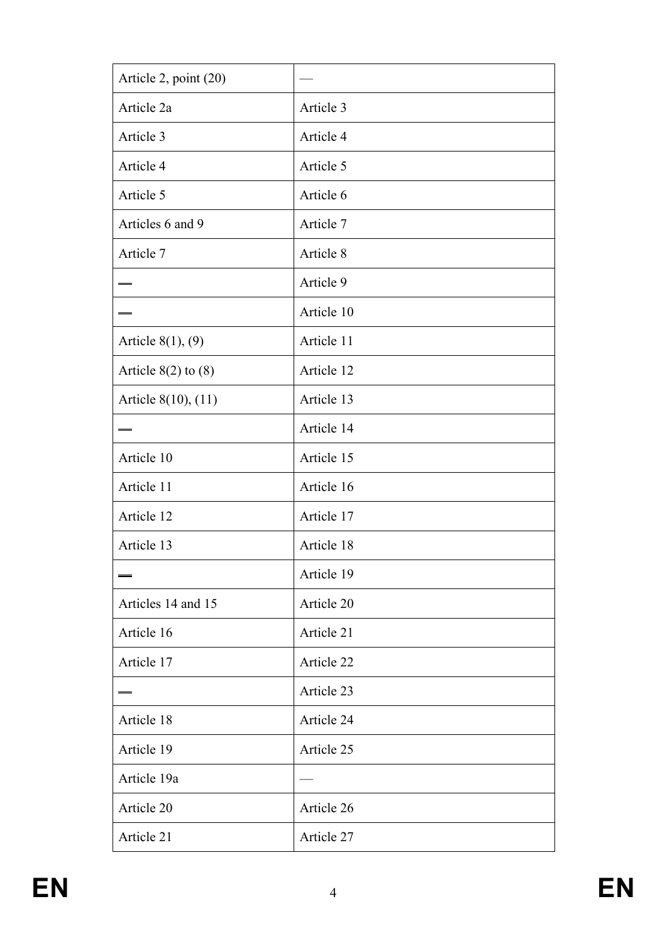| Article 2, point (20)   |            |
|-------------------------|------------|
| Article 2a              | Article 3  |
| Article 3               | Article 4  |
| Article 4               | Article 5  |
| Article 5               | Article 6  |
| Articles 6 and 9        | Article 7  |
| Article 7               | Article 8  |
|                         | Article 9  |
|                         | Article 10 |
| Article $8(1)$ , $(9)$  | Article 11 |
| Article $8(2)$ to $(8)$ | Article 12 |
| Article 8(10), (11)     | Article 13 |
|                         | Article 14 |
| Article 10              | Article 15 |
| Article 11              | Article 16 |
| Article 12              | Article 17 |
| Article 13              | Article 18 |
|                         | Article 19 |
| Articles 14 and 15      | Article 20 |
| Article 16              | Article 21 |
| Article 17              | Article 22 |
|                         | Article 23 |
| Article 18              | Article 24 |
| Article 19              | Article 25 |
| Article 19a             |            |
| Article 20              | Article 26 |
| Article 21              | Article 27 |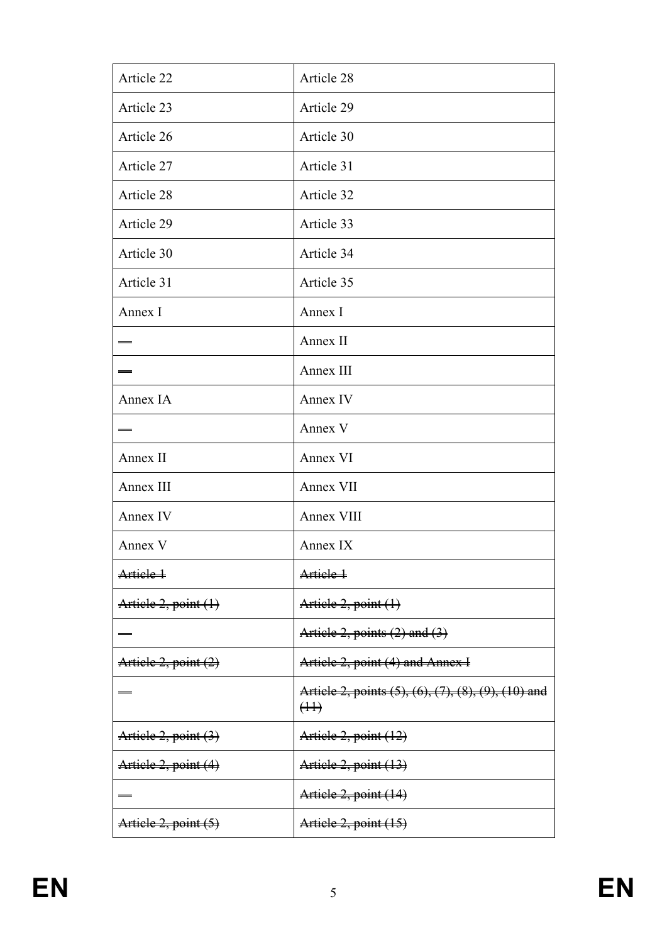| Article 22           | Article 28                                                                   |
|----------------------|------------------------------------------------------------------------------|
| Article 23           | Article 29                                                                   |
| Article 26           | Article 30                                                                   |
| Article 27           | Article 31                                                                   |
| Article 28           | Article 32                                                                   |
| Article 29           | Article 33                                                                   |
| Article 30           | Article 34                                                                   |
| Article 31           | Article 35                                                                   |
| Annex I              | Annex I                                                                      |
|                      | Annex II                                                                     |
|                      | Annex III                                                                    |
| Annex IA             | Annex IV                                                                     |
|                      | Annex V                                                                      |
| Annex II             | Annex VI                                                                     |
| Annex III            | Annex VII                                                                    |
| Annex IV             | Annex VIII                                                                   |
| Annex V              | Annex IX                                                                     |
| Artiele 1            | Article 1                                                                    |
| Artiele 2, point (1) | Article 2, point (1)                                                         |
|                      | Article 2, points (2) and (3)                                                |
| Article 2, point (2) | Article 2, point (4) and Annex I                                             |
|                      | Article 2, points (5), (6), (7), (8), (9), (10) and<br>$(\ddagger \ddagger)$ |
| Artiele 2, point (3) | Article 2, point (12)                                                        |
| Artiele 2, point (4) | Artiele 2, point (13)                                                        |
|                      | Article 2, point (14)                                                        |
| Artiele 2, point (5) | Article 2, point (15)                                                        |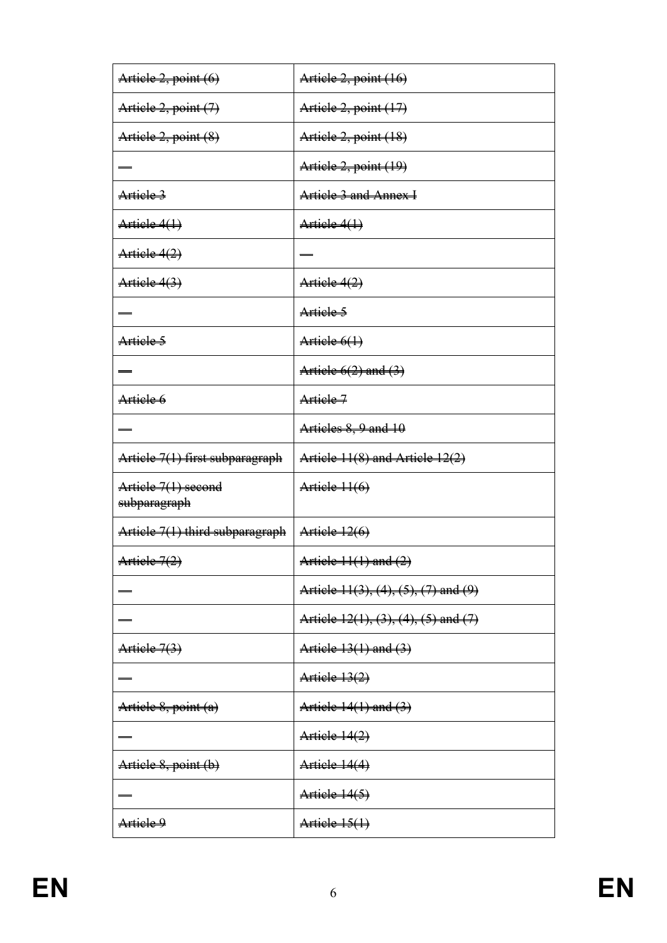| Artiele 2, point (6)            | Artiele 2, point (16)                    |
|---------------------------------|------------------------------------------|
| Artiele 2, point (7)            | Artiele 2, point (17)                    |
| Artiele 2, point (8)            | Article 2, point (18)                    |
|                                 | Article 2, point (19)                    |
| Artiele 3                       | Article 3 and Annex I                    |
| Artiele 4(1)                    | Artiele 4(1)                             |
| Artiele 4(2)                    |                                          |
| Artiele 4(3)                    | Artiele 4(2)                             |
|                                 | Artiele 5                                |
| Artiele 5                       | Artiele 6(1)                             |
|                                 | Article $6(2)$ and $(3)$                 |
| Artiele 6                       | Artiele 7                                |
|                                 | Articles 8, 9 and 10                     |
| Artiele 7(1) first subparagraph | Artiele 11(8) and Artiele 12(2)          |
| Artiele 7(1) seeond             |                                          |
| subparagraph                    | $A$ rtiele $11(6)$                       |
| Artiele 7(1) third subparagraph | Article 12(6)                            |
| Artiele 7(2)                    | Article $11(1)$ and $(2)$                |
|                                 | Article 11(3), (4), (5), (7) and (9)     |
|                                 | Article $12(1), (3), (4), (5)$ and $(7)$ |
| Artiele 7(3)                    | Article 13(1) and (3)                    |
|                                 | A <sub>right</sub> (2)                   |
| Article 8, point (a)            | Article 14(1) and (3)                    |
|                                 | Artiele 14(2)                            |
| Artiele 8, point (b)            | Article 14(4)                            |
|                                 | Article 14(5)                            |